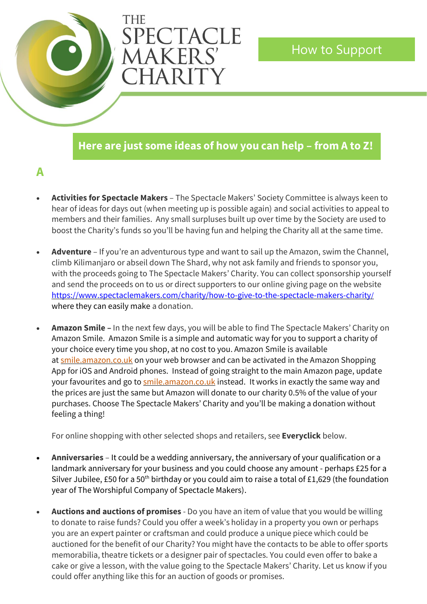# **Here are just some ideas of how you can help – from A to Z!**

How to Support

# **A**

• **Activities for Spectacle Makers** – The Spectacle Makers' Society Committee is always keen to hear of ideas for days out (when meeting up is possible again) and social activities to appeal to members and their families. Any small surpluses built up over time by the Society are used to boost the Charity's funds so you'll be having fun and helping the Charity all at the same time.

THE

PECTACLE

**AAKERS** 

CHARITY

- **Adventure** If you're an adventurous type and want to sail up the Amazon, swim the Channel, climb Kilimanjaro or abseil down The Shard, why not ask family and friends to sponsor you, with the proceeds going to The Spectacle Makers' Charity. You can collect sponsorship yourself and send the proceeds on to us or direct supporters to our online giving page on the website [https://www.spectaclemakers.com/charity/how-to-give-to-the-spectacle-makers-charity](https://www.spectaclemakers.com/charity/how-to-give-to-the-spectacle-makers-charity/)[/](https://www.spectaclemakers.com/charity/how-to-give-to-the-spectacle-makers-charity/) where they can easily make a donation.
- **Amazon Smile –** In the next few days, you will be able to find The Spectacle Makers' Charity on Amazon Smile. Amazon Smile is a simple and automatic way for you to support a charity of your choice every time you shop, at no cost to you. Amazon Smile is available at [smile.amazon.co.uk](https://smile.amazon.co.uk/) on your web browser and can be activated in the Amazon Shopping App for iOS and Android phones. Instead of going straight to the main Amazon page, update your favourites and go t[o smile.amazon.co.uk](https://smile.amazon.co.uk/) instead. It works in exactly the same way and the prices are just the same but Amazon will donate to our charity 0.5% of the value of your purchases. Choose The Spectacle Makers' Charity and you'll be making a donation without feeling a thing!

For online shopping with other selected shops and retailers, see **Everyclick** below.

- **Anniversaries** It could be a wedding anniversary, the anniversary of your qualification or a landmark anniversary for your business and you could choose any amount - perhaps £25 for a Silver Jubilee, £50 for a 50<sup>th</sup> birthday or you could aim to raise a total of £1,629 (the foundation year of The Worshipful Company of Spectacle Makers).
- **Auctions and auctions of promises** Do you have an item of value that you would be willing to donate to raise funds? Could you offer a week's holiday in a property you own or perhaps you are an expert painter or craftsman and could produce a unique piece which could be auctioned for the benefit of our Charity? You might have the contacts to be able to offer sports memorabilia, theatre tickets or a designer pair of spectacles. You could even offer to bake a cake or give a lesson, with the value going to the Spectacle Makers' Charity. Let us know if you could offer anything like this for an auction of goods or promises.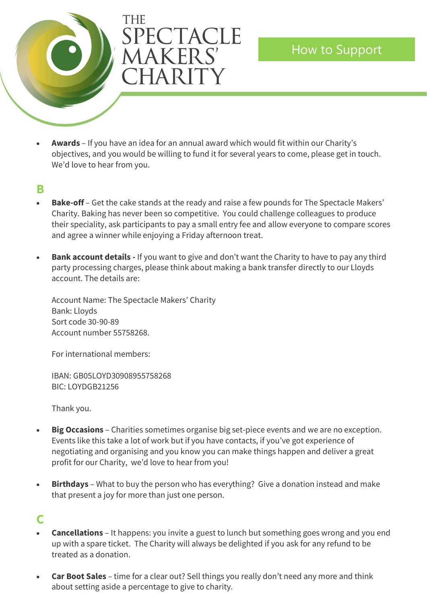

• **Awards** – If you have an idea for an annual award which would fit within our Charity's objectives, and you would be willing to fund it for several years to come, please get in touch. We'd love to hear from you.

#### **B**

- **Bake-off** Get the cake stands at the ready and raise a few pounds for The Spectacle Makers' Charity. Baking has never been so competitive. You could challenge colleagues to produce their speciality, ask participants to pay a small entry fee and allow everyone to compare scores and agree a winner while enjoying a Friday afternoon treat.
- **Bank account details -** If you want to give and don't want the Charity to have to pay any third party processing charges, please think about making a bank transfer directly to our Lloyds account. The details are:

Account Name: The Spectacle Makers' Charity Bank: Lloyds Sort code 30-90-89 Account number 55758268.

For international members:

IBAN: GB05LOYD30908955758268 BIC: LOYDGB21256

Thank you.

- **Big Occasions** Charities sometimes organise big set-piece events and we are no exception. Events like this take a lot of work but if you have contacts, if you've got experience of negotiating and organising and you know you can make things happen and deliver a great profit for our Charity, we'd love to hear from you!
- **Birthdays** What to buy the person who has everything? Give a donation instead and make that present a joy for more than just one person.

# **C**

- **Cancellations**  It happens: you invite a guest to lunch but something goes wrong and you end up with a spare ticket. The Charity will always be delighted if you ask for any refund to be treated as a donation.
- **Car Boot Sales** time for a clear out? Sell things you really don't need any more and think about setting aside a percentage to give to charity.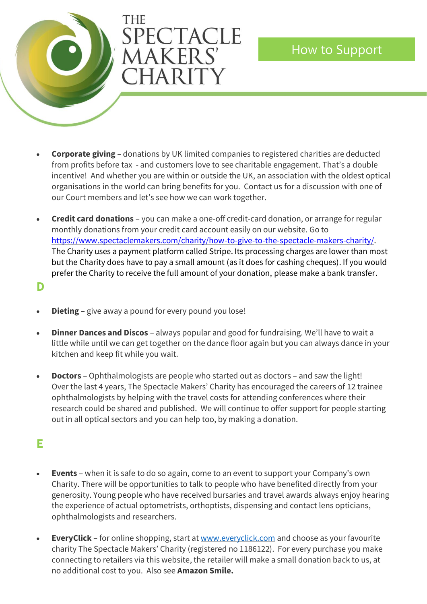

• **Corporate giving** – donations by UK limited companies to registered charities are deducted from profits before tax - and customers love to see charitable engagement. That's a double incentive! And whether you are within or outside the UK, an association with the oldest optical organisations in the world can bring benefits for you. Contact us for a discussion with one of our Court members and let's see how we can work together.

How to Support

• **Credit card donations** – you can make a one-off credit-card donation, or arrange for regular monthly donations from your credit card account easily on our website. Go to [https://www.spectaclemakers.com/charity/how-to-give-to-the-spectacle-makers-charity/.](https://www.spectaclemakers.com/charity/how-to-give-to-the-spectacle-makers-charity/) The Charity uses a payment platform called Stripe. Its processing charges are lower than most but the Charity does have to pay a small amount (as it does for cashing cheques). If you would prefer the Charity to receive the full amount of your donation, please make a bank transfer.

**D**

- **Dieting** give away a pound for every pound you lose!
- **Dinner Dances and Discos** always popular and good for fundraising. We'll have to wait a little while until we can get together on the dance floor again but you can always dance in your kitchen and keep fit while you wait.
- **Doctors**  Ophthalmologists are people who started out as doctors and saw the light! Over the last 4 years, The Spectacle Makers' Charity has encouraged the careers of 12 trainee ophthalmologists by helping with the travel costs for attending conferences where their research could be shared and published. We will continue to offer support for people starting out in all optical sectors and you can help too, by making a donation.

# **E**

- **Events**  when it is safe to do so again, come to an event to support your Company's own Charity. There will be opportunities to talk to people who have benefited directly from your generosity. Young people who have received bursaries and travel awards always enjoy hearing the experience of actual optometrists, orthoptists, dispensing and contact lens opticians, ophthalmologists and researchers.
- **EveryClick**  for online shopping, start a[t www.everyclick.com](http://www.everyclick.com/) and choose as your favourite charity The Spectacle Makers' Charity (registered no 1186122). For every purchase you make connecting to retailers via this website, the retailer will make a small donation back to us, at no additional cost to you. Also see **Amazon Smile.**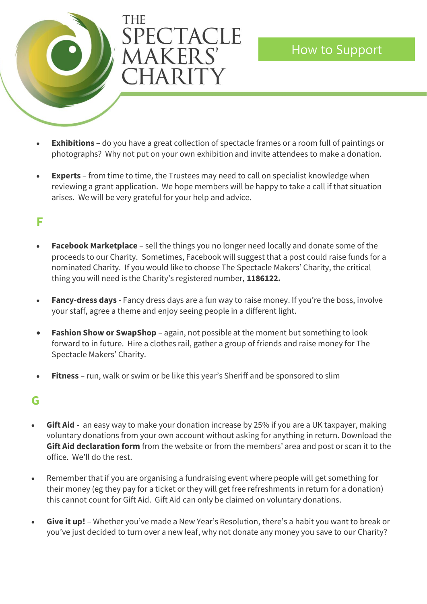

- **Exhibitions** do you have a great collection of spectacle frames or a room full of paintings or photographs? Why not put on your own exhibition and invite attendees to make a donation.
- **Experts** from time to time, the Trustees may need to call on specialist knowledge when reviewing a grant application. We hope members will be happy to take a call if that situation arises. We will be very grateful for your help and advice.

# **F**

- **Facebook Marketplace** sell the things you no longer need locally and donate some of the proceeds to our Charity. Sometimes, Facebook will suggest that a post could raise funds for a nominated Charity. If you would like to choose The Spectacle Makers' Charity, the critical thing you will need is the Charity's registered number, **1186122.**
- Fancy-dress days Fancy dress days are a fun way to raise money. If you're the boss, involve your staff, agree a theme and enjoy seeing people in a different light.
- **Fashion Show or SwapShop** again, not possible at the moment but something to look forward to in future. Hire a clothes rail, gather a group of friends and raise money for The Spectacle Makers' Charity.
- **Fitness** run, walk or swim or be like this year's Sheriff and be sponsored to slim

# **G**

- **Gift Aid -** an easy way to make your donation increase by 25% if you are a UK taxpayer, making voluntary donations from your own account without asking for anything in return. Download the **Gift Aid declaration form** from the website or from the members' area and post or scan it to the office. We'll do the rest.
- Remember that if you are organising a fundraising event where people will get something for their money (eg they pay for a ticket or they will get free refreshments in return for a donation) this cannot count for Gift Aid. Gift Aid can only be claimed on voluntary donations.
- **Give it up!** Whether you've made a New Year's Resolution, there's a habit you want to break or you've just decided to turn over a new leaf, why not donate any money you save to our Charity?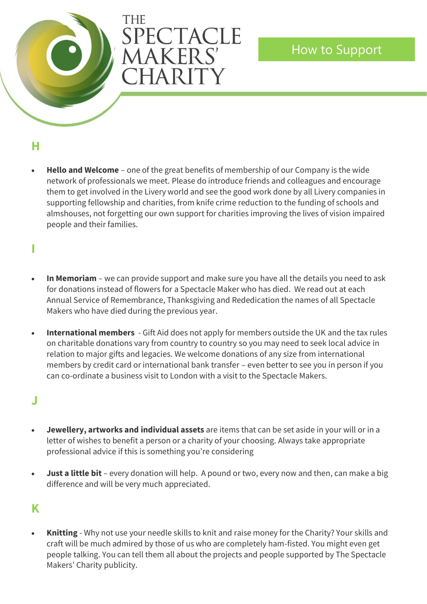

How to Support

### **H**

• **Hello and Welcome** – one of the great benefits of membership of our Company is the wide network of professionals we meet. Please do introduce friends and colleagues and encourage them to get involved in the Livery world and see the good work done by all Livery companies in supporting fellowship and charities, from knife crime reduction to the funding of schools and almshouses, not forgetting our own support for charities improving the lives of vision impaired people and their families.

### **I**

- **In Memoriam** we can provide support and make sure you have all the details you need to ask for donations instead of flowers for a Spectacle Maker who has died. We read out at each Annual Service of Remembrance, Thanksgiving and Rededication the names of all Spectacle Makers who have died during the previous year.
- **International members** Gift Aid does not apply for members outside the UK and the tax rules on charitable donations vary from country to country so you may need to seek local advice in relation to major gifts and legacies. We welcome donations of any size from international members by credit card or international bank transfer – even better to see you in person if you can co-ordinate a business visit to London with a visit to the Spectacle Makers.

#### **J**

- **Jewellery, artworks and individual assets** are items that can be set aside in your will or in a letter of wishes to benefit a person or a charity of your choosing. Always take appropriate professional advice if this is something you're considering
- **Just a little bit** every donation will help. A pound or two, every now and then, can make a big difference and will be very much appreciated.

# **K**

• **Knitting** - Why not use your needle skills to knit and raise money for the Charity? Your skills and craft will be much admired by those of us who are completely ham-fisted. You might even get people talking. You can tell them all about the projects and people supported by The Spectacle Makers' Charity publicity.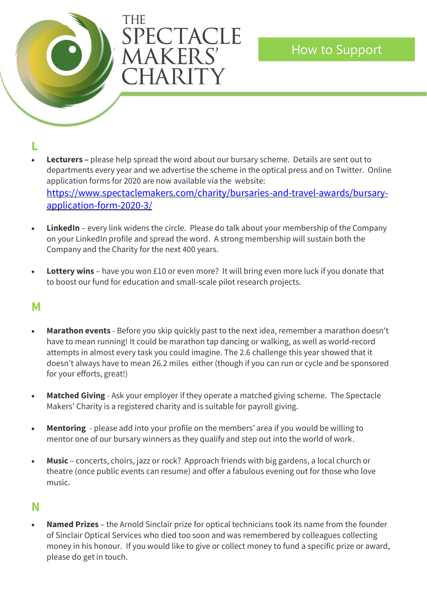

**L**

- **Lecturers –** please help spread the word about our bursary scheme. Details are sent out to departments every year and we advertise the scheme in the optical press and on Twitter. Online application forms for 2020 are now available via the website: [https://www.spectaclemakers.com/charity/bursaries-and-travel-awards/bursary](https://www.spectaclemakers.com/charity/bursaries-and-travel-awards/bursary-application-form-2020-3/)[application-form-2020-3/](https://www.spectaclemakers.com/charity/bursaries-and-travel-awards/bursary-application-form-2020-3/)
- **LinkedIn** every link widens the circle. Please do talk about your membership of the Company on your LinkedIn profile and spread the word. A strong membership will sustain both the Company and the Charity for the next 400 years.
- **Lottery wins** have you won £10 or even more? It will bring even more luck if you donate that to boost our fund for education and small-scale pilot research projects.

### **M**

- **Marathon events** Before you skip quickly past to the next idea, remember a marathon doesn't have to mean running! It could be marathon tap dancing or walking, as well as world-record attempts in almost every task you could imagine. The 2.6 challenge this year showed that it doesn't always have to mean 26.2 miles either (though if you can run or cycle and be sponsored for your efforts, great!)
- **Matched Giving** Ask your employer if they operate a matched giving scheme. The Spectacle Makers' Charity is a registered charity and is suitable for payroll giving.
- **Mentoring** please add into your profile on the members' area if you would be willing to mentor one of our bursary winners as they qualify and step out into the world of work.
- **Music** concerts, choirs, jazz or rock? Approach friends with big gardens, a local church or theatre (once public events can resume) and offer a fabulous evening out for those who love music.

### **N**

• **Named Prizes** – the Arnold Sinclair prize for optical technicians took its name from the founder of Sinclair Optical Services who died too soon and was remembered by colleagues collecting money in his honour. If you would like to give or collect money to fund a specific prize or award, please do get in touch.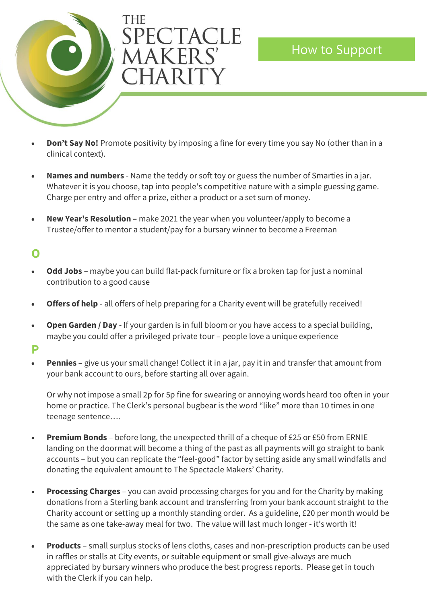

- **Don't Say No!** Promote positivity by imposing a fine for every time you say No (other than in a clinical context).
- **Names and numbers** Name the teddy or soft toy or guess the number of Smarties in a jar. Whatever it is you choose, tap into people's competitive nature with a simple guessing game. Charge per entry and offer a prize, either a product or a set sum of money.
- **New Year's Resolution –** make 2021 the year when you volunteer/apply to become a Trustee/offer to mentor a student/pay for a bursary winner to become a Freeman

# **O**

- **Odd Jobs** maybe you can build flat-pack furniture or fix a broken tap for just a nominal contribution to a good cause
- **Offers of help** all offers of help preparing for a Charity event will be gratefully received!
- **Open Garden / Day** If your garden is in full bloom or you have access to a special building, maybe you could offer a privileged private tour – people love a unique experience

#### **P**

**Pennies** – give us your small change! Collect it in a jar, pay it in and transfer that amount from your bank account to ours, before starting all over again.

Or why not impose a small 2p for 5p fine for swearing or annoying words heard too often in your home or practice. The Clerk's personal bugbear is the word "like" more than 10 times in one teenage sentence….

- **Premium Bonds** before long, the unexpected thrill of a cheque of £25 or £50 from ERNIE landing on the doormat will become a thing of the past as all payments will go straight to bank accounts – but you can replicate the "feel-good" factor by setting aside any small windfalls and donating the equivalent amount to The Spectacle Makers' Charity.
- **Processing Charges** you can avoid processing charges for you and for the Charity by making donations from a Sterling bank account and transferring from your bank account straight to the Charity account or setting up a monthly standing order. As a guideline, £20 per month would be the same as one take-away meal for two. The value will last much longer - it's worth it!
- **Products**  small surplus stocks of lens cloths, cases and non-prescription products can be used in raffles or stalls at City events, or suitable equipment or small give-always are much appreciated by bursary winners who produce the best progress reports. Please get in touch with the Clerk if you can help.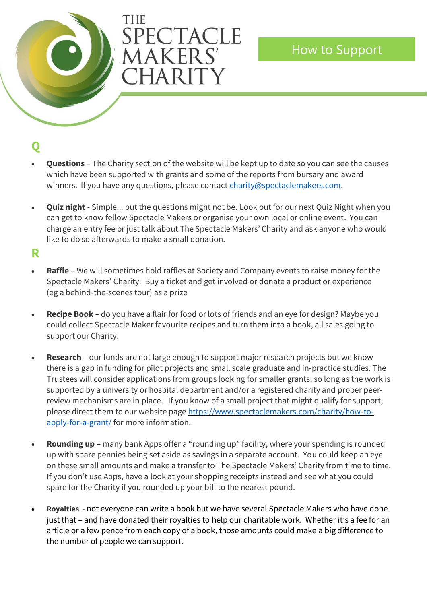

How to Support

# **Q**

- **Questions**  The Charity section of the website will be kept up to date so you can see the causes which have been supported with grants and some of the reports from bursary and award winners. If you have any questions, please contact [charity@spectaclemakers.com.](mailto:charity@spectaclemakers.com)
- **Quiz night** Simple... but the questions might not be. Look out for our next Quiz Night when you can get to know fellow Spectacle Makers or organise your own local or online event. You can charge an entry fee or just talk about The Spectacle Makers' Charity and ask anyone who would like to do so afterwards to make a small donation.

#### **R**

- **Raffle** We will sometimes hold raffles at Society and Company events to raise money for the Spectacle Makers' Charity. Buy a ticket and get involved or donate a product or experience (eg a behind-the-scenes tour) as a prize
- **Recipe Book**  do you have a flair for food or lots of friends and an eye for design? Maybe you could collect Spectacle Maker favourite recipes and turn them into a book, all sales going to support our Charity.
- **Research**  our funds are not large enough to support major research projects but we know there is a gap in funding for pilot projects and small scale graduate and in-practice studies. The Trustees will consider applications from groups looking for smaller grants, so long as the work is supported by a university or hospital department and/or a registered charity and proper peerreview mechanisms are in place. If you know of a small project that might qualify for support, please direct them to our website page [https://www.spectaclemakers.com/charity/how-to](https://www.spectaclemakers.com/charity/how-to-apply-for-a-grant/)[apply-for-a-grant/](https://www.spectaclemakers.com/charity/how-to-apply-for-a-grant/) for more information.
- **Rounding up** many bank Apps offer a "rounding up" facility, where your spending is rounded up with spare pennies being set aside as savings in a separate account. You could keep an eye on these small amounts and make a transfer to The Spectacle Makers' Charity from time to time. If you don't use Apps, have a look at your shopping receipts instead and see what you could spare for the Charity if you rounded up your bill to the nearest pound.
- **Royalties** not everyone can write a book but we have several Spectacle Makers who have done just that – and have donated their royalties to help our charitable work. Whether it's a fee for an article or a few pence from each copy of a book, those amounts could make a big difference to the number of people we can support.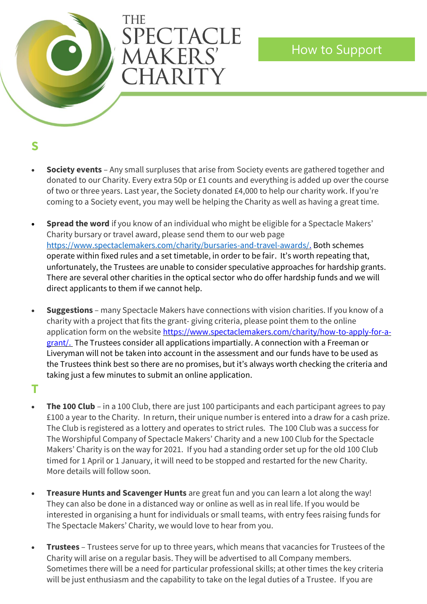

### **S**

• **Society events** – Any small surpluses that arise from Society events are gathered together and donated to our Charity. Every extra 50p or £1 counts and everything is added up over the course of two or three years. Last year, the Society donated £4,000 to help our charity work. If you're coming to a Society event, you may well be helping the Charity as well as having a great time.

How to Support

- **Spread the word** if you know of an individual who might be eligible for a Spectacle Makers' Charity bursary or travel award, please send them to our web page [https://www.spectaclemakers.com/charity/bursaries-and-travel-awards/.](https://www.spectaclemakers.com/charity/bursaries-and-travel-awards/) Both schemes operate within fixed rules and a set timetable, in order to be fair. It's worth repeating that, unfortunately, the Trustees are unable to consider speculative approaches for hardship grants. There are several other charities in the optical sector who do offer hardship funds and we will direct applicants to them if we cannot help.
- **Suggestions**  many Spectacle Makers have connections with vision charities. If you know of a charity with a project that fits the grant- giving criteria, please point them to the online application form on the website [https://www.spectaclemakers.com/charity/how-to-apply-for-a](https://www.spectaclemakers.com/charity/how-to-apply-for-a-grant/)[grant/.](https://www.spectaclemakers.com/charity/how-to-apply-for-a-grant/) The Trustees consider all applications impartially. A connection with a Freeman or Liveryman will not be taken into account in the assessment and our funds have to be used as the Trustees think best so there are no promises, but it's always worth checking the criteria and taking just a few minutes to submit an online application.

# **T**

- **The 100 Club** in a 100 Club, there are just 100 participants and each participant agrees to pay £100 a year to the Charity. In return, their unique number is entered into a draw for a cash prize. The Club is registered as a lottery and operates to strict rules. The 100 Club was a success for The Worshipful Company of Spectacle Makers' Charity and a new 100 Club for the Spectacle Makers' Charity is on the way for 2021. If you had a standing order set up for the old 100 Club timed for 1 April or 1 January, it will need to be stopped and restarted for the new Charity. More details will follow soon.
- **Treasure Hunts and Scavenger Hunts** are great fun and you can learn a lot along the way! They can also be done in a distanced way or online as well as in real life. If you would be interested in organising a hunt for individuals or small teams, with entry fees raising funds for The Spectacle Makers' Charity, we would love to hear from you.
- **Trustees**  Trustees serve for up to three years, which means that vacancies for Trustees of the Charity will arise on a regular basis. They will be advertised to all Company members. Sometimes there will be a need for particular professional skills; at other times the key criteria will be just enthusiasm and the capability to take on the legal duties of a Trustee. If you are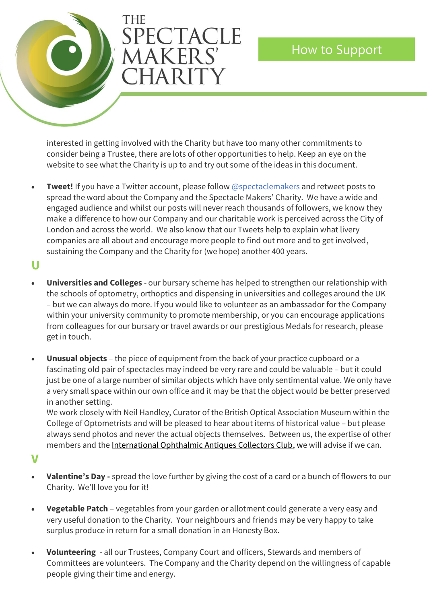

interested in getting involved with the Charity but have too many other commitments to consider being a Trustee, there are lots of other opportunities to help. Keep an eye on the website to see what the Charity is up to and try out some of the ideas in this document.

- **Tweet!** If you have a Twitter account, please follow @spectaclemakers and retweet posts to spread the word about the Company and the Spectacle Makers' Charity. We have a wide and engaged audience and whilst our posts will never reach thousands of followers, we know they make a difference to how our Company and our charitable work is perceived across the City of London and across the world. We also know that our Tweets help to explain what livery companies are all about and encourage more people to find out more and to get involved, sustaining the Company and the Charity for (we hope) another 400 years.
- **U**
- **Universities and Colleges** our bursary scheme has helped to strengthen our relationship with the schools of optometry, orthoptics and dispensing in universities and colleges around the UK – but we can always do more. If you would like to volunteer as an ambassador for the Company within your university community to promote membership, or you can encourage applications from colleagues for our bursary or travel awards or our prestigious Medals for research, please get in touch.
- **Unusual objects** the piece of equipment from the back of your practice cupboard or a fascinating old pair of spectacles may indeed be very rare and could be valuable – but it could just be one of a large number of similar objects which have only sentimental value. We only have a very small space within our own office and it may be that the object would be better preserved in another setting.

We work closely with Neil Handley, Curator of the British Optical Association Museum within the College of Optometrists and will be pleased to hear about items of historical value – but please always send photos and never the actual objects themselves. Between us, the expertise of other members and th[e International Ophthalmic Antiques Collectors Club,](https://oaicc.com/) we will advise if we can.

**V**

- **Valentine's Day -** spread the love further by giving the cost of a card or a bunch of flowers to our Charity. We'll love you for it!
- **Vegetable Patch**  vegetables from your garden or allotment could generate a very easy and very useful donation to the Charity. Your neighbours and friends may be very happy to take surplus produce in return for a small donation in an Honesty Box.
- **Volunteering** all our Trustees, Company Court and officers, Stewards and members of Committees are volunteers. The Company and the Charity depend on the willingness of capable people giving their time and energy.